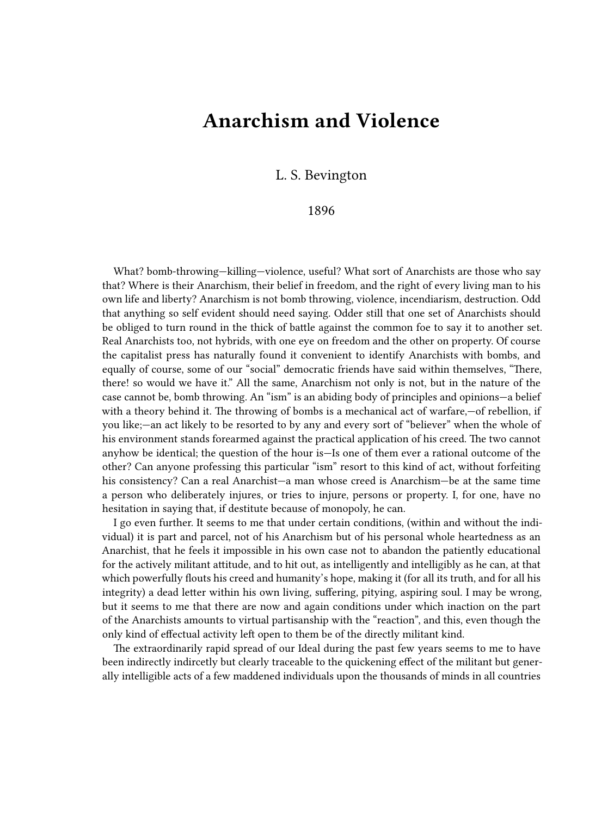## **Anarchism and Violence**

L. S. Bevington

## 1896

What? bomb-throwing-killing-violence, useful? What sort of Anarchists are those who say that? Where is their Anarchism, their belief in freedom, and the right of every living man to his own life and liberty? Anarchism is not bomb throwing, violence, incendiarism, destruction. Odd that anything so self evident should need saying. Odder still that one set of Anarchists should be obliged to turn round in the thick of battle against the common foe to say it to another set. Real Anarchists too, not hybrids, with one eye on freedom and the other on property. Of course the capitalist press has naturally found it convenient to identify Anarchists with bombs, and equally of course, some of our "social" democratic friends have said within themselves, "There, there! so would we have it." All the same, Anarchism not only is not, but in the nature of the case cannot be, bomb throwing. An "ism" is an abiding body of principles and opinions—a belief with a theory behind it. The throwing of bombs is a mechanical act of warfare,—of rebellion, if you like;—an act likely to be resorted to by any and every sort of "believer" when the whole of his environment stands forearmed against the practical application of his creed. The two cannot anyhow be identical; the question of the hour is—Is one of them ever a rational outcome of the other? Can anyone professing this particular "ism" resort to this kind of act, without forfeiting his consistency? Can a real Anarchist—a man whose creed is Anarchism—be at the same time a person who deliberately injures, or tries to injure, persons or property. I, for one, have no hesitation in saying that, if destitute because of monopoly, he can.

I go even further. It seems to me that under certain conditions, (within and without the individual) it is part and parcel, not of his Anarchism but of his personal whole heartedness as an Anarchist, that he feels it impossible in his own case not to abandon the patiently educational for the actively militant attitude, and to hit out, as intelligently and intelligibly as he can, at that which powerfully flouts his creed and humanity's hope, making it (for all its truth, and for all his integrity) a dead letter within his own living, suffering, pitying, aspiring soul. I may be wrong, but it seems to me that there are now and again conditions under which inaction on the part of the Anarchists amounts to virtual partisanship with the "reaction", and this, even though the only kind of effectual activity left open to them be of the directly militant kind.

The extraordinarily rapid spread of our Ideal during the past few years seems to me to have been indirectly indircetly but clearly traceable to the quickening effect of the militant but generally intelligible acts of a few maddened individuals upon the thousands of minds in all countries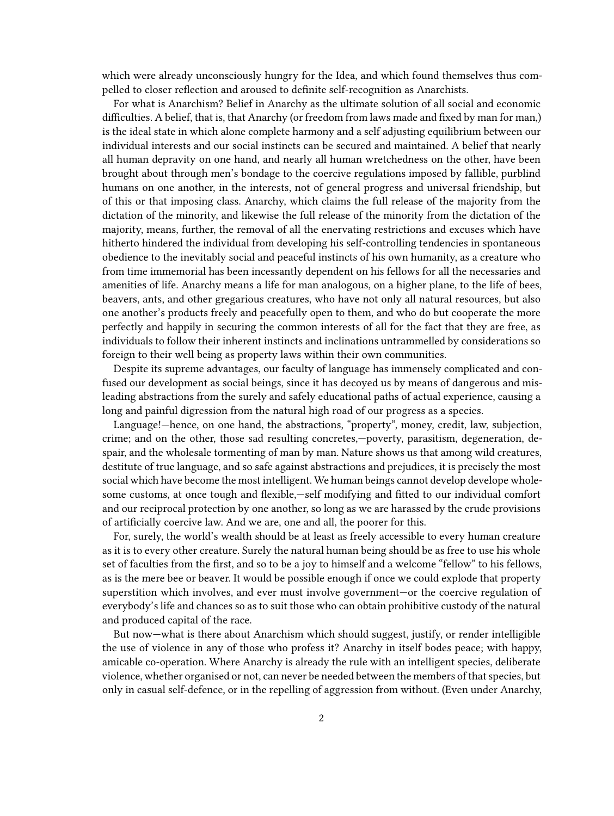which were already unconsciously hungry for the Idea, and which found themselves thus compelled to closer reflection and aroused to definite self‐recognition as Anarchists.

For what is Anarchism? Belief in Anarchy as the ultimate solution of all social and economic difficulties. A belief, that is, that Anarchy (or freedom from laws made and fixed by man for man,) is the ideal state in which alone complete harmony and a self adjusting equilibrium between our individual interests and our social instincts can be secured and maintained. A belief that nearly all human depravity on one hand, and nearly all human wretchedness on the other, have been brought about through men's bondage to the coercive regulations imposed by fallible, purblind humans on one another, in the interests, not of general progress and universal friendship, but of this or that imposing class. Anarchy, which claims the full release of the majority from the dictation of the minority, and likewise the full release of the minority from the dictation of the majority, means, further, the removal of all the enervating restrictions and excuses which have hitherto hindered the individual from developing his self-controlling tendencies in spontaneous obedience to the inevitably social and peaceful instincts of his own humanity, as a creature who from time immemorial has been incessantly dependent on his fellows for all the necessaries and amenities of life. Anarchy means a life for man analogous, on a higher plane, to the life of bees, beavers, ants, and other gregarious creatures, who have not only all natural resources, but also one another's products freely and peacefully open to them, and who do but cooperate the more perfectly and happily in securing the common interests of all for the fact that they are free, as individuals to follow their inherent instincts and inclinations untrammelled by considerations so foreign to their well being as property laws within their own communities.

Despite its supreme advantages, our faculty of language has immensely complicated and confused our development as social beings, since it has decoyed us by means of dangerous and misleading abstractions from the surely and safely educational paths of actual experience, causing a long and painful digression from the natural high road of our progress as a species.

Language!—hence, on one hand, the abstractions, "property", money, credit, law, subjection, crime; and on the other, those sad resulting concretes,—poverty, parasitism, degeneration, despair, and the wholesale tormenting of man by man. Nature shows us that among wild creatures, destitute of true language, and so safe against abstractions and prejudices, it is precisely the most social which have become the most intelligent. We human beings cannot develop develope wholesome customs, at once tough and flexible,—self modifying and fitted to our individual comfort and our reciprocal protection by one another, so long as we are harassed by the crude provisions of artificially coercive law. And we are, one and all, the poorer for this.

For, surely, the world's wealth should be at least as freely accessible to every human creature as it is to every other creature. Surely the natural human being should be as free to use his whole set of faculties from the first, and so to be a joy to himself and a welcome "fellow" to his fellows, as is the mere bee or beaver. It would be possible enough if once we could explode that property superstition which involves, and ever must involve government—or the coercive regulation of everybody's life and chances so as to suit those who can obtain prohibitive custody of the natural and produced capital of the race.

But now—what is there about Anarchism which should suggest, justify, or render intelligible the use of violence in any of those who profess it? Anarchy in itself bodes peace; with happy, amicable co-operation. Where Anarchy is already the rule with an intelligent species, deliberate violence, whether organised or not, can never be needed between the members of that species, but only in casual self‐defence, or in the repelling of aggression from without. (Even under Anarchy,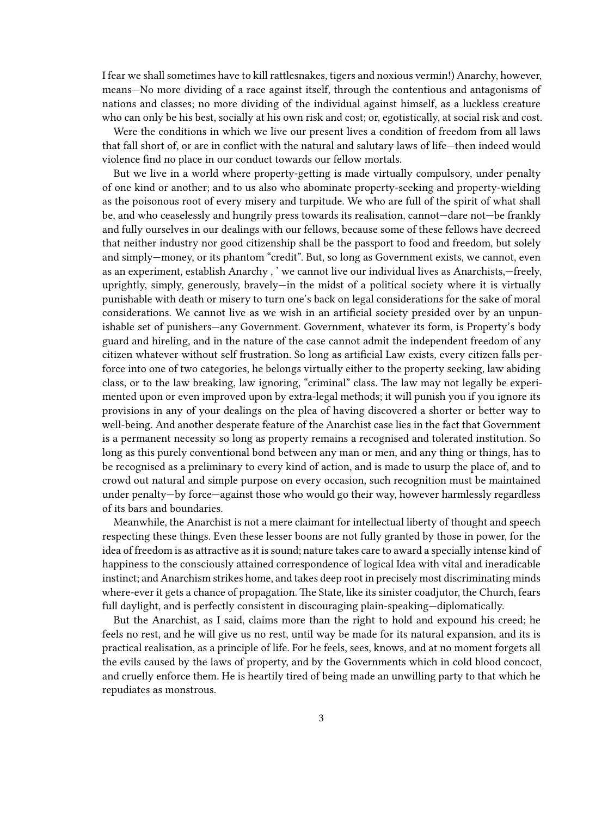I fear we shall sometimes have to kill rattlesnakes, tigers and noxious vermin!) Anarchy, however, means—No more dividing of a race against itself, through the contentious and antagonisms of nations and classes; no more dividing of the individual against himself, as a luckless creature who can only be his best, socially at his own risk and cost; or, egotistically, at social risk and cost.

Were the conditions in which we live our present lives a condition of freedom from all laws that fall short of, or are in conflict with the natural and salutary laws of life—then indeed would violence find no place in our conduct towards our fellow mortals.

But we live in a world where property-getting is made virtually compulsory, under penalty of one kind or another; and to us also who abominate property‐seeking and property‐wielding as the poisonous root of every misery and turpitude. We who are full of the spirit of what shall be, and who ceaselessly and hungrily press towards its realisation, cannot—dare not—be frankly and fully ourselves in our dealings with our fellows, because some of these fellows have decreed that neither industry nor good citizenship shall be the passport to food and freedom, but solely and simply—money, or its phantom "credit". But, so long as Government exists, we cannot, even as an experiment, establish Anarchy , ' we cannot live our individual lives as Anarchists,—freely, uprightly, simply, generously, bravely—in the midst of a political society where it is virtually punishable with death or misery to turn one's back on legal considerations for the sake of moral considerations. We cannot live as we wish in an artificial society presided over by an unpunishable set of punishers—any Government. Government, whatever its form, is Property's body guard and hireling, and in the nature of the case cannot admit the independent freedom of any citizen whatever without self frustration. So long as artificial Law exists, every citizen falls perforce into one of two categories, he belongs virtually either to the property seeking, law abiding class, or to the law breaking, law ignoring, "criminal" class. The law may not legally be experimented upon or even improved upon by extra-legal methods; it will punish you if you ignore its provisions in any of your dealings on the plea of having discovered a shorter or better way to well-being. And another desperate feature of the Anarchist case lies in the fact that Government is a permanent necessity so long as property remains a recognised and tolerated institution. So long as this purely conventional bond between any man or men, and any thing or things, has to be recognised as a preliminary to every kind of action, and is made to usurp the place of, and to crowd out natural and simple purpose on every occasion, such recognition must be maintained under penalty—by force—against those who would go their way, however harmlessly regardless of its bars and boundaries.

Meanwhile, the Anarchist is not a mere claimant for intellectual liberty of thought and speech respecting these things. Even these lesser boons are not fully granted by those in power, for the idea of freedom is as attractive as it is sound; nature takes care to award a specially intense kind of happiness to the consciously attained correspondence of logical Idea with vital and ineradicable instinct; and Anarchism strikes home, and takes deep root in precisely most discriminating minds where-ever it gets a chance of propagation. The State, like its sinister coadjutor, the Church, fears full daylight, and is perfectly consistent in discouraging plain‐speaking—diplomatically.

But the Anarchist, as I said, claims more than the right to hold and expound his creed; he feels no rest, and he will give us no rest, until way be made for its natural expansion, and its is practical realisation, as a principle of life. For he feels, sees, knows, and at no moment forgets all the evils caused by the laws of property, and by the Governments which in cold blood concoct, and cruelly enforce them. He is heartily tired of being made an unwilling party to that which he repudiates as monstrous.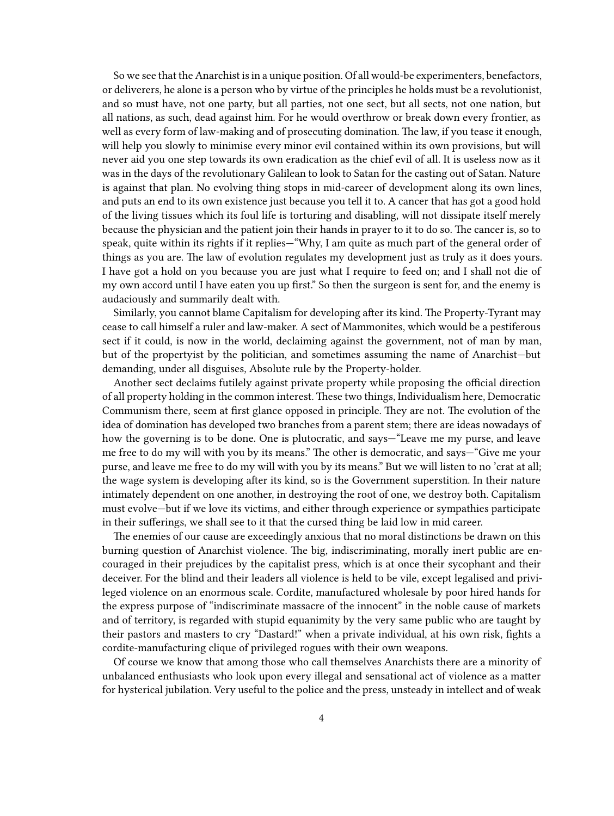So we see that the Anarchist is in a unique position. Of all would‐be experimenters, benefactors, or deliverers, he alone is a person who by virtue of the principles he holds must be a revolutionist, and so must have, not one party, but all parties, not one sect, but all sects, not one nation, but all nations, as such, dead against him. For he would overthrow or break down every frontier, as well as every form of law-making and of prosecuting domination. The law, if you tease it enough, will help you slowly to minimise every minor evil contained within its own provisions, but will never aid you one step towards its own eradication as the chief evil of all. It is useless now as it was in the days of the revolutionary Galilean to look to Satan for the casting out of Satan. Nature is against that plan. No evolving thing stops in mid-career of development along its own lines, and puts an end to its own existence just because you tell it to. A cancer that has got a good hold of the living tissues which its foul life is torturing and disabling, will not dissipate itself merely because the physician and the patient join their hands in prayer to it to do so. The cancer is, so to speak, quite within its rights if it replies—"Why, I am quite as much part of the general order of things as you are. The law of evolution regulates my development just as truly as it does yours. I have got a hold on you because you are just what I require to feed on; and I shall not die of my own accord until I have eaten you up first." So then the surgeon is sent for, and the enemy is audaciously and summarily dealt with.

Similarly, you cannot blame Capitalism for developing after its kind. The Property‐Tyrant may cease to call himself a ruler and law‐maker. A sect of Mammonites, which would be a pestiferous sect if it could, is now in the world, declaiming against the government, not of man by man, but of the propertyist by the politician, and sometimes assuming the name of Anarchist—but demanding, under all disguises, Absolute rule by the Property‐holder.

Another sect declaims futilely against private property while proposing the official direction of all property holding in the common interest. These two things, Individualism here, Democratic Communism there, seem at first glance opposed in principle. They are not. The evolution of the idea of domination has developed two branches from a parent stem; there are ideas nowadays of how the governing is to be done. One is plutocratic, and says—"Leave me my purse, and leave me free to do my will with you by its means." The other is democratic, and says—"Give me your purse, and leave me free to do my will with you by its means." But we will listen to no 'crat at all; the wage system is developing after its kind, so is the Government superstition. In their nature intimately dependent on one another, in destroying the root of one, we destroy both. Capitalism must evolve—but if we love its victims, and either through experience or sympathies participate in their sufferings, we shall see to it that the cursed thing be laid low in mid career.

The enemies of our cause are exceedingly anxious that no moral distinctions be drawn on this burning question of Anarchist violence. The big, indiscriminating, morally inert public are encouraged in their prejudices by the capitalist press, which is at once their sycophant and their deceiver. For the blind and their leaders all violence is held to be vile, except legalised and privileged violence on an enormous scale. Cordite, manufactured wholesale by poor hired hands for the express purpose of "indiscriminate massacre of the innocent" in the noble cause of markets and of territory, is regarded with stupid equanimity by the very same public who are taught by their pastors and masters to cry "Dastard!" when a private individual, at his own risk, fights a cordite-manufacturing clique of privileged rogues with their own weapons.

Of course we know that among those who call themselves Anarchists there are a minority of unbalanced enthusiasts who look upon every illegal and sensational act of violence as a matter for hysterical jubilation. Very useful to the police and the press, unsteady in intellect and of weak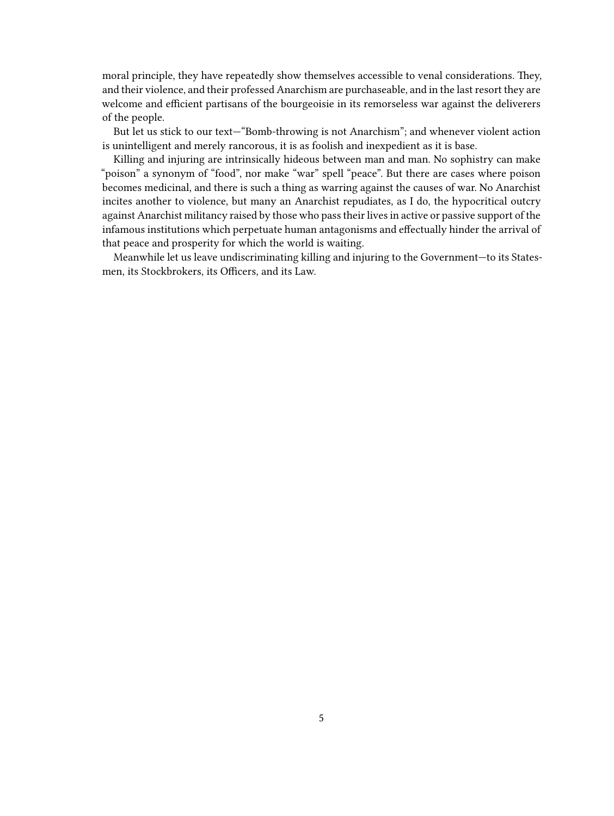moral principle, they have repeatedly show themselves accessible to venal considerations. They, and their violence, and their professed Anarchism are purchaseable, and in the last resort they are welcome and efficient partisans of the bourgeoisie in its remorseless war against the deliverers of the people.

But let us stick to our text—"Bomb‐throwing is not Anarchism"; and whenever violent action is unintelligent and merely rancorous, it is as foolish and inexpedient as it is base.

Killing and injuring are intrinsically hideous between man and man. No sophistry can make "poison" a synonym of "food", nor make "war" spell "peace". But there are cases where poison becomes medicinal, and there is such a thing as warring against the causes of war. No Anarchist incites another to violence, but many an Anarchist repudiates, as I do, the hypocritical outcry against Anarchist militancy raised by those who pass their lives in active or passive support of the infamous institutions which perpetuate human antagonisms and effectually hinder the arrival of that peace and prosperity for which the world is waiting.

Meanwhile let us leave undiscriminating killing and injuring to the Government—to its Statesmen, its Stockbrokers, its Officers, and its Law.